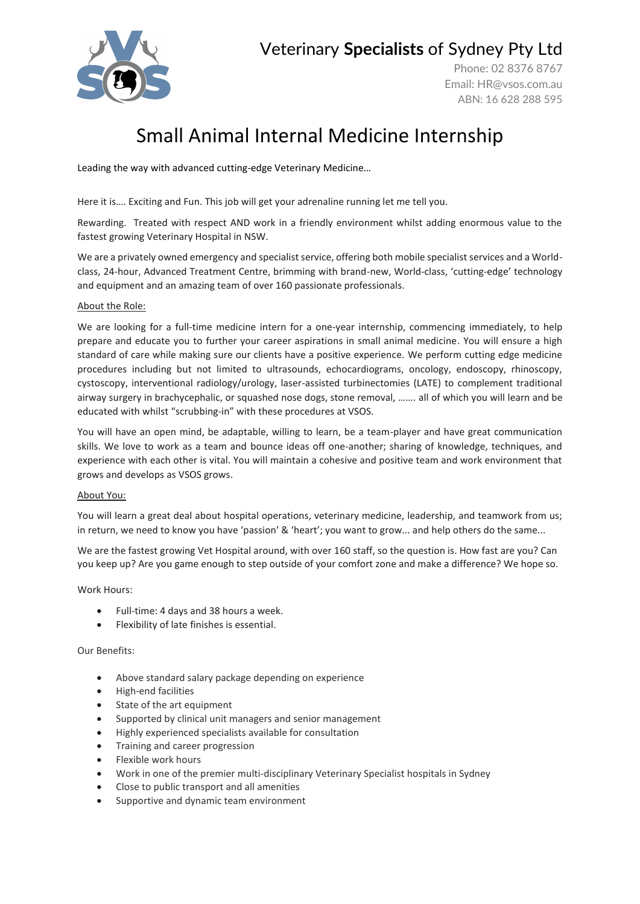

### Veterinary **Specialists** of Sydney Pty Ltd

Phone: 02 8376 8767 Email: [HR@vsos.com.au](mailto:HR@vsos.com.au) ABN: 16 628 288 595

# Small Animal Internal Medicine Internship

Leading the way with advanced cutting-edge Veterinary Medicine…

Here it is…. Exciting and Fun. This job will get your adrenaline running let me tell you.

Rewarding. Treated with respect AND work in a friendly environment whilst adding enormous value to the fastest growing Veterinary Hospital in NSW.

We are a privately owned emergency and specialist service, offering both mobile specialist services and a Worldclass, 24-hour, Advanced Treatment Centre, brimming with brand-new, World-class, 'cutting-edge' technology and equipment and an amazing team of over 160 passionate professionals.

#### About the Role:

We are looking for a full-time medicine intern for a one-year internship, commencing immediately, to help prepare and educate you to further your career aspirations in small animal medicine. You will ensure a high standard of care while making sure our clients have a positive experience. We perform cutting edge medicine procedures including but not limited to ultrasounds, echocardiograms, oncology, endoscopy, rhinoscopy, cystoscopy, interventional radiology/urology, laser-assisted turbinectomies (LATE) to complement traditional airway surgery in brachycephalic, or squashed nose dogs, stone removal, ……. all of which you will learn and be educated with whilst "scrubbing-in" with these procedures at VSOS.

You will have an open mind, be adaptable, willing to learn, be a team-player and have great communication skills. We love to work as a team and bounce ideas off one-another; sharing of knowledge, techniques, and experience with each other is vital. You will maintain a cohesive and positive team and work environment that grows and develops as VSOS grows.

#### About You:

You will learn a great deal about hospital operations, veterinary medicine, leadership, and teamwork from us; in return, we need to know you have 'passion' & 'heart'; you want to grow... and help others do the same...

We are the fastest growing Vet Hospital around, with over 160 staff, so the question is. How fast are you? Can you keep up? Are you game enough to step outside of your comfort zone and make a difference? We hope so.

Work Hours:

- Full-time: 4 days and 38 hours a week.
- Flexibility of late finishes is essential.

#### Our Benefits:

- Above standard salary package depending on experience
- High-end facilities
- State of the art equipment
- Supported by clinical unit managers and senior management
- Highly experienced specialists available for consultation
- Training and career progression
- Flexible work hours
- Work in one of the premier multi-disciplinary Veterinary Specialist hospitals in Sydney
- Close to public transport and all amenities
- Supportive and dynamic team environment